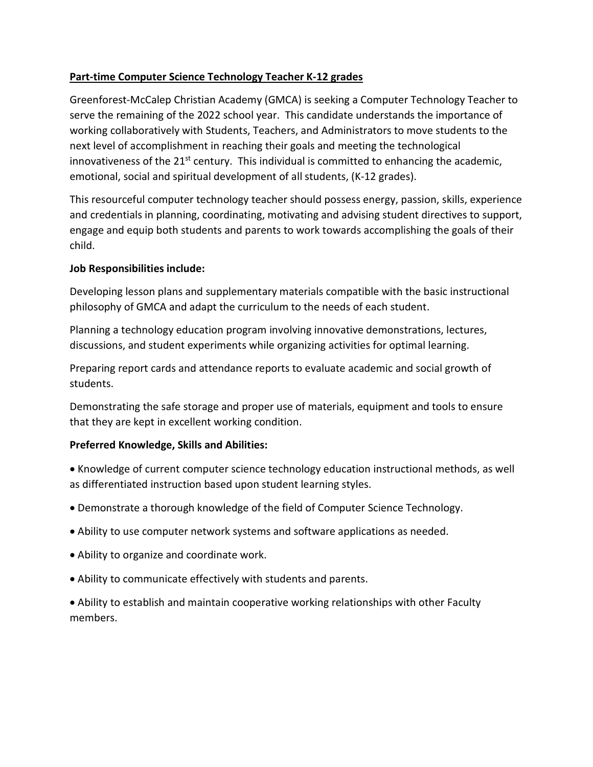## Part-time Computer Science Technology Teacher K-12 grades

Greenforest-McCalep Christian Academy (GMCA) is seeking a Computer Technology Teacher to serve the remaining of the 2022 school year. This candidate understands the importance of working collaboratively with Students, Teachers, and Administrators to move students to the next level of accomplishment in reaching their goals and meeting the technological innovativeness of the  $21<sup>st</sup>$  century. This individual is committed to enhancing the academic, emotional, social and spiritual development of all students, (K-12 grades).

This resourceful computer technology teacher should possess energy, passion, skills, experience and credentials in planning, coordinating, motivating and advising student directives to support, engage and equip both students and parents to work towards accomplishing the goals of their child.

## Job Responsibilities include:

Developing lesson plans and supplementary materials compatible with the basic instructional philosophy of GMCA and adapt the curriculum to the needs of each student.

Planning a technology education program involving innovative demonstrations, lectures, discussions, and student experiments while organizing activities for optimal learning.

Preparing report cards and attendance reports to evaluate academic and social growth of students.

Demonstrating the safe storage and proper use of materials, equipment and tools to ensure that they are kept in excellent working condition.

## Preferred Knowledge, Skills and Abilities:

- Knowledge of current computer science technology education instructional methods, as well as differentiated instruction based upon student learning styles.
- Demonstrate a thorough knowledge of the field of Computer Science Technology.
- Ability to use computer network systems and software applications as needed.
- Ability to organize and coordinate work.
- Ability to communicate effectively with students and parents.
- Ability to establish and maintain cooperative working relationships with other Faculty members.